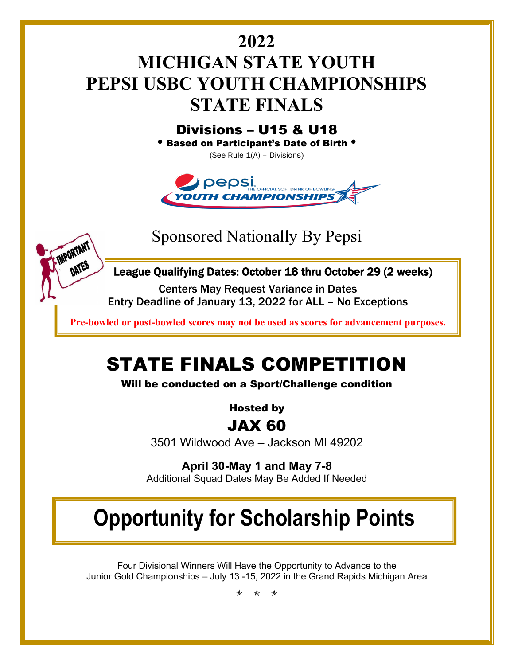# **2022 MICHIGAN STATE YOUTH PEPSI USBC YOUTH CHAMPIONSHIPS STATE FINALS**

Divisions – U15 & U18 • Based on Participant's Date of Birth •

(See Rule 1(A) – Divisions)



Sponsored Nationally By Pepsi

IMPORTANT

DATES



Centers May Request Variance in Dates Entry Deadline of January 13, 2022 for ALL – No Exceptions

**Pre-bowled or post-bowled scores may not be used as scores for advancement purposes.** j

# STATE FINALS COMPETITION

Will be conducted on a Sport/Challenge condition

Hosted by

## JAX 60

3501 Wildwood Ave – Jackson MI 49202

**April 30-May 1 and May 7-8** Additional Squad Dates May Be Added If Needed

# **Opportunity for Scholarship Points**

Four Divisional Winners Will Have the Opportunity to Advance to the Junior Gold Championships – July 13 -15, 2022 in the Grand Rapids Michigan Area

\* \* \*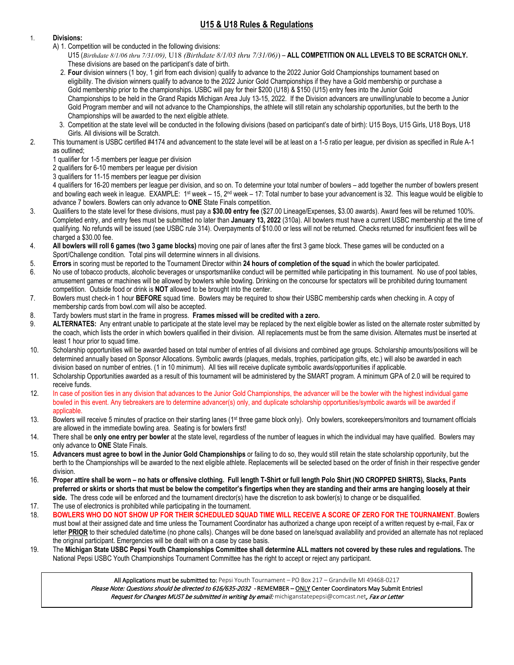### **U15 & U18 Rules & Regulations**

#### 1. **Divisions:**

- A) 1. Competition will be conducted in the following divisions:
	- U15 (*Birthdate 8/1/06 thru 7/31/09),* U18 *(Birthdate 8/1/03 thru 7/31/06)*) **ALL COMPETITION ON ALL LEVELS TO BE SCRATCH ONLY.** These divisions are based on the participant's date of birth.
	- 2. **Four** division winners (1 boy, 1 girl from each division) qualify to advance to the 2022 Junior Gold Championships tournament based on eligibility. The division winners qualify to advance to the 2022 Junior Gold Championships if they have a Gold membership or purchase a Gold membership prior to the championships. USBC will pay for their \$200 (U18) & \$150 (U15) entry fees into the Junior Gold Championships to be held in the Grand Rapids Michigan Area July 13-15, 2022. If the Division advancers are unwilling/unable to become a Junior Gold Program member and will not advance to the Championships, the athlete will still retain any scholarship opportunities, but the berth to the Championships will be awarded to the next eligible athlete.
	- 3. Competition at the state level will be conducted in the following divisions (based on participant's date of birth): U15 Boys, U15 Girls, U18 Boys, U18 Girls. All divisions will be Scratch.
- 2. This tournament is USBC certified #4174 and advancement to the state level will be at least on a 1-5 ratio per league, per division as specified in Rule A-1 as outlined;
	- 1 qualifier for 1-5 members per league per division
	- 2 qualifiers for 6-10 members per league per division
	- 3 qualifiers for 11-15 members per league per division

4 qualifiers for 16-20 members per league per division, and so on. To determine your total number of bowlers – add together the number of bowlers present and bowling each week in league. EXAMPLE: 1st week – 15, 2<sup>nd</sup> week – 17: Total number to base your advancement is 32. This league would be eligible to advance 7 bowlers. Bowlers can only advance to **ONE** State Finals competition.

- 3. Qualifiers to the state level for these divisions, must pay a **\$30.00 entry fee** (\$27.00 Lineage/Expenses, \$3.00 awards). Award fees will be returned 100%. Completed entry, and entry fees must be submitted no later than **January 13, 2022** (310a). All bowlers must have a current USBC membership at the time of qualifying. No refunds will be issued (see USBC rule 314). Overpayments of \$10.00 or less will not be returned. Checks returned for insufficient fees will be charged a \$30.00 fee.
- 4. **All bowlers will roll 6 games (two 3 game blocks)** moving one pair of lanes after the first 3 game block. These games will be conducted on a Sport/Challenge condition. Total pins will determine winners in all divisions.
- 5. **Errors** in scoring must be reported to the Tournament Director within **24 hours of completion of the squad** in which the bowler participated.
- 6. No use of tobacco products, alcoholic beverages or unsportsmanlike conduct will be permitted while participating in this tournament. No use of pool tables, amusement games or machines will be allowed by bowlers while bowling. Drinking on the concourse for spectators will be prohibited during tournament competition. Outside food or drink is **NOT** allowed to be brought into the center.
- 7. Bowlers must check-in 1 hour **BEFORE** squad time. Bowlers may be required to show their USBC membership cards when checking in. A copy of membership cards from bowl.com will also be accepted.
- 8. Tardy bowlers must start in the frame in progress. **Frames missed will be credited with a zero.**
- 9. **ALTERNATES:** Any entrant unable to participate at the state level may be replaced by the next eligible bowler as listed on the alternate roster submitted by the coach, which lists the order in which bowlers qualified in their division. All replacements must be from the same division. Alternates must be inserted at least 1 hour prior to squad time.
- 10. Scholarship opportunities will be awarded based on total number of entries of all divisions and combined age groups. Scholarship amounts/positions will be determined annually based on Sponsor Allocations. Symbolic awards (plaques, medals, trophies, participation gifts, etc.) will also be awarded in each division based on number of entries. (1 in 10 minimum). All ties will receive duplicate symbolic awards/opportunities if applicable.
- 11. Scholarship Opportunities awarded as a result of this tournament will be administered by the SMART program. A minimum GPA of 2.0 will be required to receive funds.
- 12. In case of position ties in any division that advances to the Junior Gold Championships, the advancer will be the bowler with the highest individual game bowled in this event. Any tiebreakers are to determine advancer(s) only, and duplicate scholarship opportunities/symbolic awards will be awarded if applicable.
- 13. Bowlers will receive 5 minutes of practice on their starting lanes (1<sup>st</sup> three game block only). Only bowlers, scorekeepers/monitors and tournament officials are allowed in the immediate bowling area. Seating is for bowlers first!
- 14. There shall be **only one entry per bowler** at the state level, regardless of the number of leagues in which the individual may have qualified. Bowlers may only advance to **ONE** State Finals.
- 15. **Advancers must agree to bowl in the Junior Gold Championships** or failing to do so, they would still retain the state scholarship opportunity, but the berth to the Championships will be awarded to the next eligible athlete. Replacements will be selected based on the order of finish in their respective gender division.
- 16. **Proper attire shall be worn – no hats or offensive clothing. Full length T-Shirt or full length Polo Shirt (NO CROPPED SHIRTS), Slacks, Pants preferred or skirts or shorts that must be below the competitor's fingertips when they are standing and their arms are hanging loosely at their** side. The dress code will be enforced and the tournament director(s) have the discretion to ask bowler(s) to change or be disqualified.
- 17. The use of electronics is prohibited while participating in the tournament.
- 18. **BOWLERS WHO DO NOT SHOW UP FOR THEIR SCHEDULED SQUAD TIME WILL RECEIVE A SCORE OF ZERO FOR THE TOURNAMENT**. Bowlers must bowl at their assigned date and time unless the Tournament Coordinator has authorized a change upon receipt of a written request by e-mail, Fax or letter PRIOR to their scheduled date/time (no phone calls). Changes will be done based on lane/squad availability and provided an alternate has not replaced the original participant. Emergencies will be dealt with on a case by case basis.
- 19. The **Michigan State USBC Pepsi Youth Championships Committee shall determine ALL matters not covered by these rules and regulations.** The National Pepsi USBC Youth Championships Tournament Committee has the right to accept or reject any participant.

All Applications must be submitted to: Pepsi Youth Tournament – PO Box 217 – Grandville MI 49468-0217 Please Note: Questions should be directed to 616/635-2032 - REMEMBER - ONLY Center Coordinators May Submit Entries! Request for Changes MUST be submitted in writing by email: michiganstatepepsi@comcast.net, Fax or Letter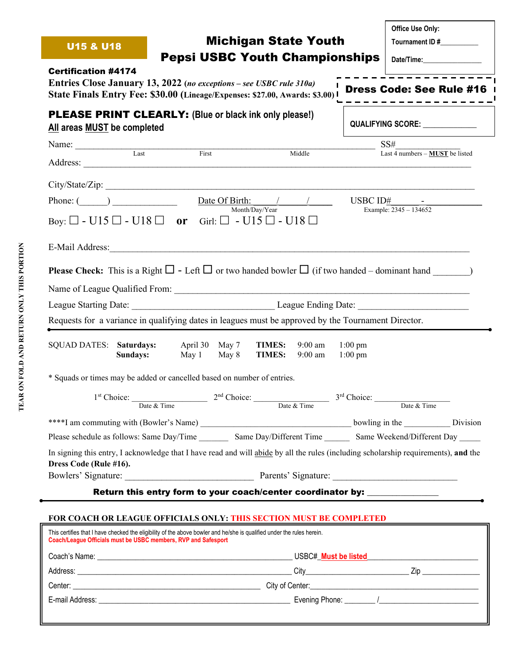|                                                                                                                                                                                                                                                                |                                                                                                             |                                                          |                                | Office Use Only:                                                                 |  |  |
|----------------------------------------------------------------------------------------------------------------------------------------------------------------------------------------------------------------------------------------------------------------|-------------------------------------------------------------------------------------------------------------|----------------------------------------------------------|--------------------------------|----------------------------------------------------------------------------------|--|--|
| <b>Michigan State Youth</b><br><b>U15 &amp; U18</b>                                                                                                                                                                                                            |                                                                                                             |                                                          |                                | Tournament ID #                                                                  |  |  |
|                                                                                                                                                                                                                                                                |                                                                                                             | <b>Pepsi USBC Youth Championships</b>                    |                                | Date/Time:                                                                       |  |  |
| <b>Certification #4174</b><br>Entries Close January 13, 2022 (no exceptions – see USBC rule 310a)<br>State Finals Entry Fee: \$30.00 (Lineage/Expenses: \$27.00, Awards: \$3.00) I                                                                             |                                                                                                             |                                                          |                                | Dress Code: See Rule #16                                                         |  |  |
| <b>PLEASE PRINT CLEARLY:</b> (Blue or black ink only please!)<br>All areas MUST be completed                                                                                                                                                                   |                                                                                                             |                                                          |                                | QUALIFYING SCORE: _____________                                                  |  |  |
| Name: Last                                                                                                                                                                                                                                                     |                                                                                                             |                                                          |                                | SS#                                                                              |  |  |
|                                                                                                                                                                                                                                                                | First                                                                                                       | Middle                                                   |                                | Last 4 numbers - MUST be listed                                                  |  |  |
|                                                                                                                                                                                                                                                                |                                                                                                             |                                                          |                                |                                                                                  |  |  |
| Phone: $($ )                                                                                                                                                                                                                                                   |                                                                                                             | Date Of Birth: $\frac{1}{2}$                             |                                | USBC $ID#$ $-$                                                                   |  |  |
| Boy: $\Box$ - U15 $\Box$ - U18 $\Box$ or Girl: $\Box$ - U15 $\Box$ - U18 $\Box$                                                                                                                                                                                |                                                                                                             | Month/Day/Year                                           |                                | Example: 2345 - 134652                                                           |  |  |
|                                                                                                                                                                                                                                                                |                                                                                                             |                                                          |                                |                                                                                  |  |  |
| <b>Please Check:</b> This is a Right $\square$ - Left $\square$ or two handed bowler $\square$ (if two handed – dominant hand $\square$ )                                                                                                                      |                                                                                                             |                                                          |                                |                                                                                  |  |  |
|                                                                                                                                                                                                                                                                |                                                                                                             |                                                          |                                |                                                                                  |  |  |
|                                                                                                                                                                                                                                                                |                                                                                                             |                                                          |                                |                                                                                  |  |  |
| Requests for a variance in qualifying dates in leagues must be approved by the Tournament Director.                                                                                                                                                            |                                                                                                             |                                                          |                                |                                                                                  |  |  |
|                                                                                                                                                                                                                                                                |                                                                                                             |                                                          |                                |                                                                                  |  |  |
| <b>SQUAD DATES:</b> Saturdays:<br>Sundays:                                                                                                                                                                                                                     | April 30 May 7<br>May 1 May 8                                                                               | <b>TIMES:</b><br>$9:00$ am<br><b>TIMES:</b><br>$9:00$ am | $1:00 \text{ pm}$<br>$1:00$ pm |                                                                                  |  |  |
| * Squads or times may be added or cancelled based on number of entries.                                                                                                                                                                                        |                                                                                                             |                                                          |                                |                                                                                  |  |  |
|                                                                                                                                                                                                                                                                | 1 <sup>st</sup> Choice: Date & Time 2 <sup>nd</sup> Choice: Date & Time 3 <sup>rd</sup> Choice: Date & Time |                                                          |                                |                                                                                  |  |  |
|                                                                                                                                                                                                                                                                |                                                                                                             |                                                          |                                | Date & Time                                                                      |  |  |
|                                                                                                                                                                                                                                                                |                                                                                                             |                                                          |                                |                                                                                  |  |  |
|                                                                                                                                                                                                                                                                |                                                                                                             |                                                          |                                |                                                                                  |  |  |
| Please schedule as follows: Same Day/Time Same Day/Different Time Same Weekend/Different Day                                                                                                                                                                   |                                                                                                             |                                                          |                                |                                                                                  |  |  |
| In signing this entry, I acknowledge that I have read and will abide by all the rules (including scholarship requirements), and the                                                                                                                            |                                                                                                             |                                                          |                                |                                                                                  |  |  |
| Dress Code (Rule #16).                                                                                                                                                                                                                                         |                                                                                                             |                                                          |                                |                                                                                  |  |  |
|                                                                                                                                                                                                                                                                |                                                                                                             |                                                          |                                | Return this entry form to your coach/center coordinator by: ____________________ |  |  |
|                                                                                                                                                                                                                                                                |                                                                                                             |                                                          |                                |                                                                                  |  |  |
| FOR COACH OR LEAGUE OFFICIALS ONLY: THIS SECTION MUST BE COMPLETED<br>This certifies that I have checked the eligibility of the above bowler and he/she is qualified under the rules herein.<br>Coach/League Officials must be USBC members, RVP and Safesport |                                                                                                             |                                                          |                                |                                                                                  |  |  |
|                                                                                                                                                                                                                                                                |                                                                                                             |                                                          |                                |                                                                                  |  |  |
|                                                                                                                                                                                                                                                                |                                                                                                             |                                                          |                                |                                                                                  |  |  |

E-mail Address: \_\_\_\_\_\_\_\_\_\_\_\_\_\_\_\_\_\_\_\_\_\_\_\_\_\_\_\_\_\_\_\_\_\_\_\_\_\_\_\_\_\_\_\_\_\_\_\_\_\_ Evening Phone: \_\_\_\_\_\_\_\_ /\_\_\_\_\_\_\_\_\_\_\_\_\_\_\_\_\_\_\_\_\_\_\_\_\_\_